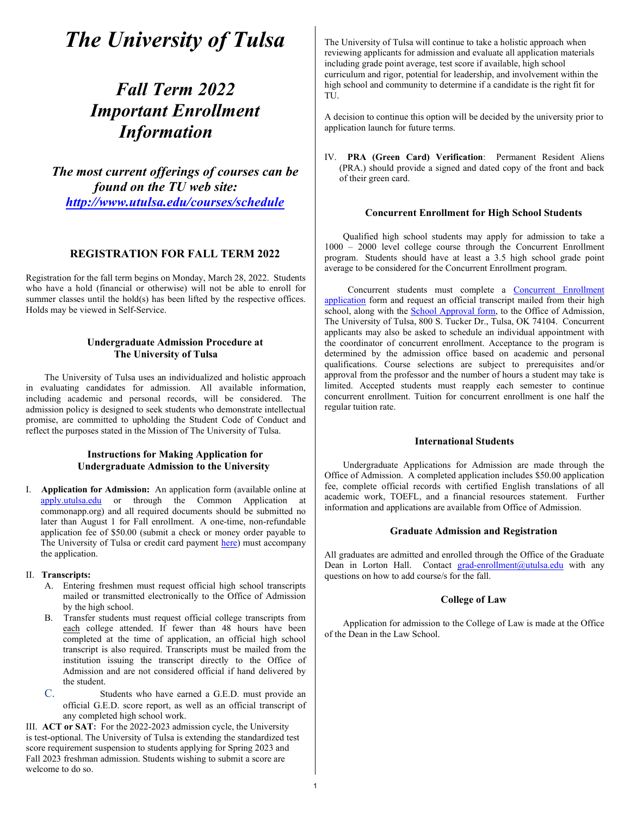# The University of Tulsa

# Fall Term 2022 Important Enrollment Information

The most current offerings of courses can be found on the TU web site: http://www.utulsa.edu/courses/schedule

# REGISTRATION FOR FALL TERM 2022

Registration for the fall term begins on Monday, March 28, 2022. Students who have a hold (financial or otherwise) will not be able to enroll for summer classes until the hold(s) has been lifted by the respective offices. Holds may be viewed in Self-Service.

# Undergraduate Admission Procedure at The University of Tulsa

The University of Tulsa uses an individualized and holistic approach in evaluating candidates for admission. All available information, including academic and personal records, will be considered. The admission policy is designed to seek students who demonstrate intellectual promise, are committed to upholding the Student Code of Conduct and reflect the purposes stated in the Mission of The University of Tulsa.

# Instructions for Making Application for Undergraduate Admission to the University

I. Application for Admission: An application form (available online at apply.utulsa.edu or through the Common Application at commonapp.org) and all required documents should be submitted no later than August 1 for Fall enrollment. A one-time, non-refundable application fee of \$50.00 (submit a check or money order payable to The University of Tulsa or credit card payment here) must accompany the application.

#### II. Transcripts:

- A. Entering freshmen must request official high school transcripts mailed or transmitted electronically to the Office of Admission by the high school.
- B. Transfer students must request official college transcripts from each college attended. If fewer than 48 hours have been completed at the time of application, an official high school transcript is also required. Transcripts must be mailed from the institution issuing the transcript directly to the Office of Admission and are not considered official if hand delivered by the student.
- C. Students who have earned a G.E.D. must provide an official G.E.D. score report, as well as an official transcript of any completed high school work.

III. ACT or SAT: For the 2022-2023 admission cycle, the University is test-optional. The University of Tulsa is extending the standardized test score requirement suspension to students applying for Spring 2023 and Fall 2023 freshman admission. Students wishing to submit a score are welcome to do so.

The University of Tulsa will continue to take a holistic approach when reviewing applicants for admission and evaluate all application materials including grade point average, test score if available, high school curriculum and rigor, potential for leadership, and involvement within the high school and community to determine if a candidate is the right fit for TU.

A decision to continue this option will be decided by the university prior to application launch for future terms.

IV. PRA (Green Card) Verification: Permanent Resident Aliens (PRA.) should provide a signed and dated copy of the front and back of their green card.

#### Concurrent Enrollment for High School Students

Qualified high school students may apply for admission to take a 1000 – 2000 level college course through the Concurrent Enrollment program. Students should have at least a 3.5 high school grade point average to be considered for the Concurrent Enrollment program.

 Concurrent students must complete a Concurrent Enrollment application form and request an official transcript mailed from their high school, along with the **School Approval form**, to the Office of Admission, The University of Tulsa, 800 S. Tucker Dr., Tulsa, OK 74104. Concurrent applicants may also be asked to schedule an individual appointment with the coordinator of concurrent enrollment. Acceptance to the program is determined by the admission office based on academic and personal qualifications. Course selections are subject to prerequisites and/or approval from the professor and the number of hours a student may take is limited. Accepted students must reapply each semester to continue concurrent enrollment. Tuition for concurrent enrollment is one half the regular tuition rate.

# International Students

Undergraduate Applications for Admission are made through the Office of Admission. A completed application includes \$50.00 application fee, complete official records with certified English translations of all academic work, TOEFL, and a financial resources statement. Further information and applications are available from Office of Admission.

#### Graduate Admission and Registration

All graduates are admitted and enrolled through the Office of the Graduate Dean in Lorton Hall. Contact grad-enrollment@utulsa.edu with any questions on how to add course/s for the fall.

#### College of Law

Application for admission to the College of Law is made at the Office of the Dean in the Law School.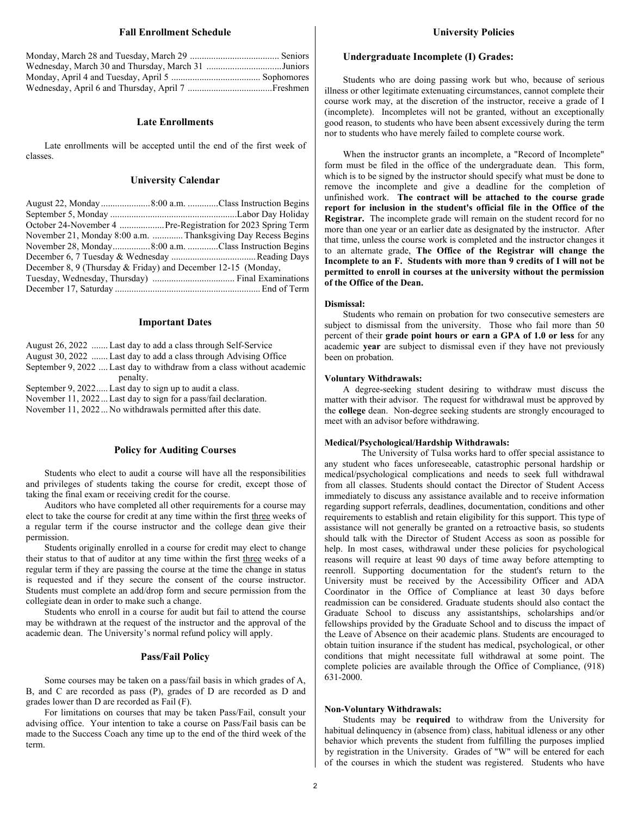#### Fall Enrollment Schedule

| Wednesday, March 30 and Thursday, March 31 Juniors |  |
|----------------------------------------------------|--|
|                                                    |  |
|                                                    |  |

#### Late Enrollments

Late enrollments will be accepted until the end of the first week of classes.

#### University Calendar

| October 24-November 4  Pre-Registration for 2023 Spring Term  |
|---------------------------------------------------------------|
| November 21, Monday 8:00 a.m. Thanksgiving Day Recess Begins  |
| November 28, Monday8:00 a.m. Class Instruction Begins         |
|                                                               |
| December 8, 9 (Thursday & Friday) and December 12-15 (Monday, |
|                                                               |
|                                                               |

#### Important Dates

| August 26, 2022  Last day to add a class through Self-Service         |
|-----------------------------------------------------------------------|
| August 30, 2022  Last day to add a class through Advising Office      |
| September 9, 2022  Last day to withdraw from a class without academic |
| penalty.                                                              |
| September 9, 2022 Last day to sign up to audit a class.               |
| November 11, 2022 Last day to sign for a pass/fail declaration.       |
| November 11, 2022 No withdrawals permitted after this date.           |

#### Policy for Auditing Courses

Students who elect to audit a course will have all the responsibilities and privileges of students taking the course for credit, except those of taking the final exam or receiving credit for the course.

Auditors who have completed all other requirements for a course may elect to take the course for credit at any time within the first three weeks of a regular term if the course instructor and the college dean give their permission.

Students originally enrolled in a course for credit may elect to change their status to that of auditor at any time within the first three weeks of a regular term if they are passing the course at the time the change in status is requested and if they secure the consent of the course instructor. Students must complete an add/drop form and secure permission from the collegiate dean in order to make such a change.

Students who enroll in a course for audit but fail to attend the course may be withdrawn at the request of the instructor and the approval of the academic dean. The University's normal refund policy will apply.

#### Pass/Fail Policy

Some courses may be taken on a pass/fail basis in which grades of A, B, and C are recorded as pass (P), grades of D are recorded as D and grades lower than D are recorded as Fail (F).

For limitations on courses that may be taken Pass/Fail, consult your advising office. Your intention to take a course on Pass/Fail basis can be made to the Success Coach any time up to the end of the third week of the term.

### Undergraduate Incomplete (I) Grades:

Students who are doing passing work but who, because of serious illness or other legitimate extenuating circumstances, cannot complete their course work may, at the discretion of the instructor, receive a grade of I (incomplete). Incompletes will not be granted, without an exceptionally good reason, to students who have been absent excessively during the term nor to students who have merely failed to complete course work.

When the instructor grants an incomplete, a "Record of Incomplete" form must be filed in the office of the undergraduate dean. This form, which is to be signed by the instructor should specify what must be done to remove the incomplete and give a deadline for the completion of unfinished work. The contract will be attached to the course grade report for inclusion in the student's official file in the Office of the Registrar. The incomplete grade will remain on the student record for no more than one year or an earlier date as designated by the instructor. After that time, unless the course work is completed and the instructor changes it to an alternate grade, The Office of the Registrar will change the Incomplete to an F. Students with more than 9 credits of I will not be permitted to enroll in courses at the university without the permission of the Office of the Dean.

#### Dismissal:

Students who remain on probation for two consecutive semesters are subject to dismissal from the university. Those who fail more than 50 percent of their grade point hours or earn a GPA of 1.0 or less for any academic year are subject to dismissal even if they have not previously been on probation.

#### Voluntary Withdrawals:

A degree-seeking student desiring to withdraw must discuss the matter with their advisor. The request for withdrawal must be approved by the college dean. Non-degree seeking students are strongly encouraged to meet with an advisor before withdrawing.

#### Medical/Psychological/Hardship Withdrawals:

The University of Tulsa works hard to offer special assistance to any student who faces unforeseeable, catastrophic personal hardship or medical/psychological complications and needs to seek full withdrawal from all classes. Students should contact the Director of Student Access immediately to discuss any assistance available and to receive information regarding support referrals, deadlines, documentation, conditions and other requirements to establish and retain eligibility for this support. This type of assistance will not generally be granted on a retroactive basis, so students should talk with the Director of Student Access as soon as possible for help. In most cases, withdrawal under these policies for psychological reasons will require at least 90 days of time away before attempting to reenroll. Supporting documentation for the student's return to the University must be received by the Accessibility Officer and ADA Coordinator in the Office of Compliance at least 30 days before readmission can be considered. Graduate students should also contact the Graduate School to discuss any assistantships, scholarships and/or fellowships provided by the Graduate School and to discuss the impact of the Leave of Absence on their academic plans. Students are encouraged to obtain tuition insurance if the student has medical, psychological, or other conditions that might necessitate full withdrawal at some point. The complete policies are available through the Office of Compliance, (918) 631-2000.

#### Non-Voluntary Withdrawals:

Students may be required to withdraw from the University for habitual delinquency in (absence from) class, habitual idleness or any other behavior which prevents the student from fulfilling the purposes implied by registration in the University. Grades of "W" will be entered for each of the courses in which the student was registered. Students who have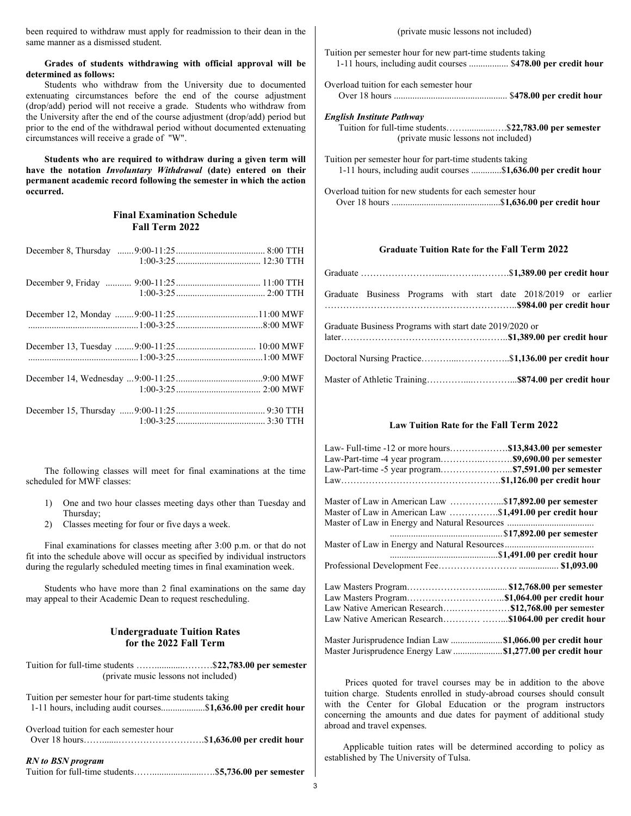been required to withdraw must apply for readmission to their dean in the same manner as a dismissed student.

### Grades of students withdrawing with official approval will be determined as follows:

Students who withdraw from the University due to documented extenuating circumstances before the end of the course adjustment (drop/add) period will not receive a grade. Students who withdraw from the University after the end of the course adjustment (drop/add) period but prior to the end of the withdrawal period without documented extenuating circumstances will receive a grade of "W".

Students who are required to withdraw during a given term will have the notation Involuntary Withdrawal (date) entered on their permanent academic record following the semester in which the action occurred.

# Final Examination Schedule Fall Term 2022

The following classes will meet for final examinations at the time scheduled for MWF classes:

- 1) One and two hour classes meeting days other than Tuesday and Thursday;
- 2) Classes meeting for four or five days a week.

Final examinations for classes meeting after 3:00 p.m. or that do not fit into the schedule above will occur as specified by individual instructors during the regularly scheduled meeting times in final examination week.

Students who have more than 2 final examinations on the same day may appeal to their Academic Dean to request rescheduling.

# Undergraduate Tuition Rates for the 2022 Fall Term

Tuition for full-time students ............................\$22,783.00 per semester (private music lessons not included)

Tuition per semester hour for part-time students taking 1-11 hours, including audit courses...................\$1,636.00 per credit hour

Overload tuition for each semester hour Over 18 hours…….......……………………….\$1,636.00 per credit hour

#### RN to BSN program

Tuition for full-time students……...........................\$5,736.00 per semester

#### (private music lessons not included)

Tuition per semester hour for new part-time students taking 1-11 hours, including audit courses ................. \$478.00 per credit hour

Overload tuition for each semester hour Over 18 hours ................................................. \$478.00 per credit hour

English Institute Pathway Tuition for full-time students……..............\$22,783.00 per semester (private music lessons not included)

Tuition per semester hour for part-time students taking 1-11 hours, including audit courses .............\$1,636.00 per credit hour

Overload tuition for new students for each semester hour Over 18 hours ...............................................\$1,636.00 per credit hour

# Graduate Tuition Rate for the Fall Term 2022

|  |                                                         |  | Graduate Business Programs with start date 2018/2019 or earlier |  |
|--|---------------------------------------------------------|--|-----------------------------------------------------------------|--|
|  | Graduate Business Programs with start date 2019/2020 or |  |                                                                 |  |
|  |                                                         |  |                                                                 |  |
|  |                                                         |  |                                                                 |  |

# Law Tuition Rate for the Fall Term 2022

| Law- Full-time -12 or more hours\$13,843.00 per semester   |  |
|------------------------------------------------------------|--|
|                                                            |  |
|                                                            |  |
|                                                            |  |
| Master of Law in American Law \$17,892.00 per semester     |  |
| Master of Law in American Law \$1,491.00 per credit hour   |  |
|                                                            |  |
|                                                            |  |
|                                                            |  |
|                                                            |  |
|                                                            |  |
|                                                            |  |
|                                                            |  |
| Law Native American Research\$12,768.00 per semester       |  |
| Law Native American Research\$1064.00 per credit hour      |  |
| Master Jurisprudence Indian Law \$1,066.00 per credit hour |  |
| Master Jurisprudence Energy Law \$1,277.00 per credit hour |  |

Prices quoted for travel courses may be in addition to the above tuition charge. Students enrolled in study-abroad courses should consult with the Center for Global Education or the program instructors concerning the amounts and due dates for payment of additional study abroad and travel expenses.

Applicable tuition rates will be determined according to policy as established by The University of Tulsa.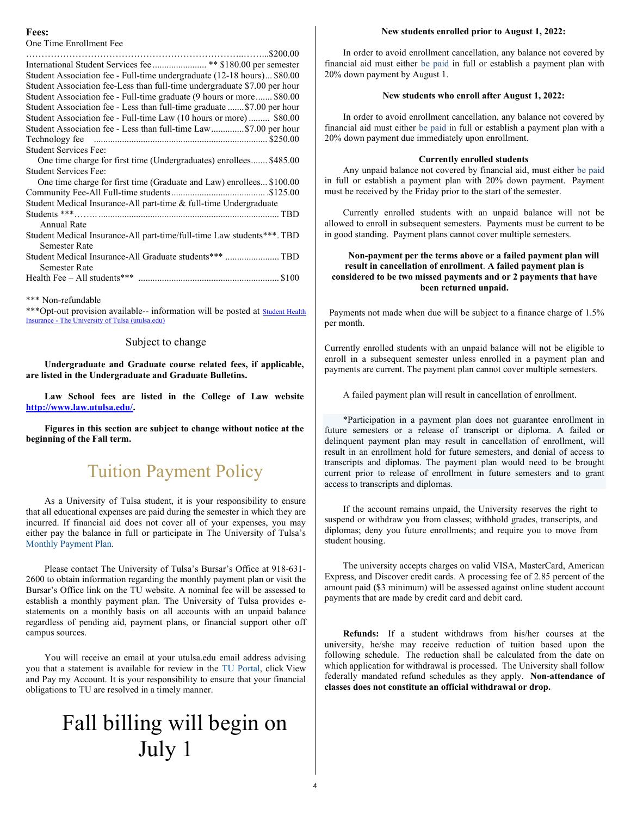#### Fees:

One Time Enrollment Fee

| Student Association fee - Full-time undergraduate (12-18 hours) \$80.00   |
|---------------------------------------------------------------------------|
| Student Association fee-Less than full-time undergraduate \$7.00 per hour |
| Student Association fee - Full-time graduate (9 hours or more \$80.00     |
| Student Association fee - Less than full-time graduate \$7.00 per hour    |
| Student Association fee - Full-time Law (10 hours or more) \$80.00        |
| Student Association fee - Less than full-time Law\$7.00 per hour          |
|                                                                           |
| <b>Student Services Fee:</b>                                              |
| One time charge for first time (Undergraduates) enrollees \$485.00        |
| <b>Student Services Fee:</b>                                              |
| One time charge for first time (Graduate and Law) enrollees \$100.00      |
|                                                                           |
| Student Medical Insurance-All part-time & full-time Undergraduate         |
|                                                                           |
| Annual Rate                                                               |
| Student Medical Insurance-All part-time/full-time Law students***. TBD    |
| <b>Semester Rate</b>                                                      |
| Student Medical Insurance-All Graduate students*** TBD                    |
| <b>Semester Rate</b>                                                      |
|                                                                           |
|                                                                           |
|                                                                           |

\*\*\* Non-refundable

\*\*\* Opt-out provision available-- information will be posted at **Student Health** Insurance - The University of Tulsa (utulsa.edu)

### Subject to change

Undergraduate and Graduate course related fees, if applicable, are listed in the Undergraduate and Graduate Bulletins.

Law School fees are listed in the College of Law website http://www.law.utulsa.edu/.

Figures in this section are subject to change without notice at the beginning of the Fall term.

# Tuition Payment Policy

As a University of Tulsa student, it is your responsibility to ensure that all educational expenses are paid during the semester in which they are incurred. If financial aid does not cover all of your expenses, you may either pay the balance in full or participate in The University of Tulsa's Monthly Payment Plan.

Please contact The University of Tulsa's Bursar's Office at 918-631- 2600 to obtain information regarding the monthly payment plan or visit the Bursar's Office link on the TU website. A nominal fee will be assessed to establish a monthly payment plan. The University of Tulsa provides estatements on a monthly basis on all accounts with an unpaid balance regardless of pending aid, payment plans, or financial support other off campus sources.

You will receive an email at your utulsa.edu email address advising you that a statement is available for review in the TU Portal, click View and Pay my Account. It is your responsibility to ensure that your financial obligations to TU are resolved in a timely manner.

# Fall billing will begin on July 1

#### New students enrolled prior to August 1, 2022:

In order to avoid enrollment cancellation, any balance not covered by financial aid must either be paid in full or establish a payment plan with 20% down payment by August 1.

#### New students who enroll after August 1, 2022:

In order to avoid enrollment cancellation, any balance not covered by financial aid must either be paid in full or establish a payment plan with a 20% down payment due immediately upon enrollment.

#### Currently enrolled students

Any unpaid balance not covered by financial aid, must either be paid in full or establish a payment plan with 20% down payment. Payment must be received by the Friday prior to the start of the semester.

Currently enrolled students with an unpaid balance will not be allowed to enroll in subsequent semesters. Payments must be current to be in good standing. Payment plans cannot cover multiple semesters.

# Non-payment per the terms above or a failed payment plan will result in cancellation of enrollment. A failed payment plan is considered to be two missed payments and or 2 payments that have been returned unpaid.

 Payments not made when due will be subject to a finance charge of 1.5% per month.

Currently enrolled students with an unpaid balance will not be eligible to enroll in a subsequent semester unless enrolled in a payment plan and payments are current. The payment plan cannot cover multiple semesters.

A failed payment plan will result in cancellation of enrollment.

\*Participation in a payment plan does not guarantee enrollment in future semesters or a release of transcript or diploma. A failed or delinquent payment plan may result in cancellation of enrollment, will result in an enrollment hold for future semesters, and denial of access to transcripts and diplomas. The payment plan would need to be brought current prior to release of enrollment in future semesters and to grant access to transcripts and diplomas.

If the account remains unpaid, the University reserves the right to suspend or withdraw you from classes; withhold grades, transcripts, and diplomas; deny you future enrollments; and require you to move from student housing.

The university accepts charges on valid VISA, MasterCard, American Express, and Discover credit cards. A processing fee of 2.85 percent of the amount paid (\$3 minimum) will be assessed against online student account payments that are made by credit card and debit card.

Refunds: If a student withdraws from his/her courses at the university, he/she may receive reduction of tuition based upon the following schedule. The reduction shall be calculated from the date on which application for withdrawal is processed. The University shall follow federally mandated refund schedules as they apply. Non-attendance of classes does not constitute an official withdrawal or drop.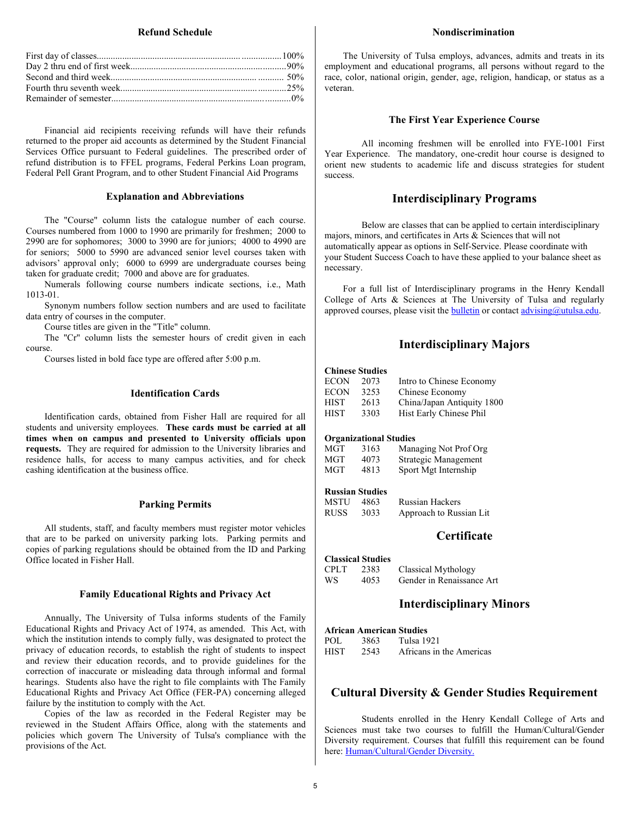#### Refund Schedule

Financial aid recipients receiving refunds will have their refunds returned to the proper aid accounts as determined by the Student Financial Services Office pursuant to Federal guidelines. The prescribed order of refund distribution is to FFEL programs, Federal Perkins Loan program, Federal Pell Grant Program, and to other Student Financial Aid Programs

#### Explanation and Abbreviations

The "Course" column lists the catalogue number of each course. Courses numbered from 1000 to 1990 are primarily for freshmen; 2000 to 2990 are for sophomores; 3000 to 3990 are for juniors; 4000 to 4990 are for seniors; 5000 to 5990 are advanced senior level courses taken with advisors' approval only; 6000 to 6999 are undergraduate courses being taken for graduate credit; 7000 and above are for graduates.

Numerals following course numbers indicate sections, i.e., Math 1013-01.

Synonym numbers follow section numbers and are used to facilitate data entry of courses in the computer.

Course titles are given in the "Title" column.

The "Cr" column lists the semester hours of credit given in each course.

Courses listed in bold face type are offered after 5:00 p.m.

# Identification Cards

Identification cards, obtained from Fisher Hall are required for all students and university employees. These cards must be carried at all times when on campus and presented to University officials upon requests. They are required for admission to the University libraries and residence halls, for access to many campus activities, and for check cashing identification at the business office.

# Parking Permits

All students, staff, and faculty members must register motor vehicles that are to be parked on university parking lots. Parking permits and copies of parking regulations should be obtained from the ID and Parking Office located in Fisher Hall.

#### Family Educational Rights and Privacy Act

Annually, The University of Tulsa informs students of the Family Educational Rights and Privacy Act of 1974, as amended. This Act, with which the institution intends to comply fully, was designated to protect the privacy of education records, to establish the right of students to inspect and review their education records, and to provide guidelines for the correction of inaccurate or misleading data through informal and formal hearings. Students also have the right to file complaints with The Family Educational Rights and Privacy Act Office (FER-PA) concerning alleged failure by the institution to comply with the Act.

Copies of the law as recorded in the Federal Register may be reviewed in the Student Affairs Office, along with the statements and policies which govern The University of Tulsa's compliance with the provisions of the Act.

#### Nondiscrimination

The University of Tulsa employs, advances, admits and treats in its employment and educational programs, all persons without regard to the race, color, national origin, gender, age, religion, handicap, or status as a veteran.

#### The First Year Experience Course

 All incoming freshmen will be enrolled into FYE-1001 First Year Experience. The mandatory, one-credit hour course is designed to orient new students to academic life and discuss strategies for student success.

# Interdisciplinary Programs

 Below are classes that can be applied to certain interdisciplinary majors, minors, and certificates in Arts & Sciences that will not automatically appear as options in Self-Service. Please coordinate with your Student Success Coach to have these applied to your balance sheet as necessary.

For a full list of Interdisciplinary programs in the Henry Kendall College of Arts & Sciences at The University of Tulsa and regularly approved courses, please visit the **bulletin** or contact  $\frac{advising(\hat{w})}{advusing(\hat{w})}$ 

# Interdisciplinary Majors

#### Chinese Studies

| <b>ECON</b> | 2073 | Intro to Chinese Economy   |
|-------------|------|----------------------------|
| <b>ECON</b> | 3253 | Chinese Economy            |
| <b>HIST</b> | 2613 | China/Japan Antiquity 1800 |
| <b>HIST</b> | 3303 | Hist Early Chinese Phil    |

#### Organizational Studies

| MGT | 3163 | Managing Not Prof Org |
|-----|------|-----------------------|
| MGT | 4073 | Strategic Management  |
| MGT | 4813 | Sport Mgt Internship  |

#### Russian Studies

| MSTU- | - 4863 | <b>Russian Hackers</b>  |
|-------|--------|-------------------------|
| RUSS  | 3033   | Approach to Russian Lit |

# **Certificate**

Classical Studies

| CPLT | 2383 | Classical Mythology       |
|------|------|---------------------------|
| WS   | 4053 | Gender in Renaissance Art |

# Interdisciplinary Minors

African American Studies POL 3863 Tulsa 1921<br>HIST 2543 Africans in 2543 Africans in the Americas

# Cultural Diversity & Gender Studies Requirement

 Students enrolled in the Henry Kendall College of Arts and Sciences must take two courses to fulfill the Human/Cultural/Gender Diversity requirement. Courses that fulfill this requirement can be found here: Human/Cultural/Gender Diversity.

5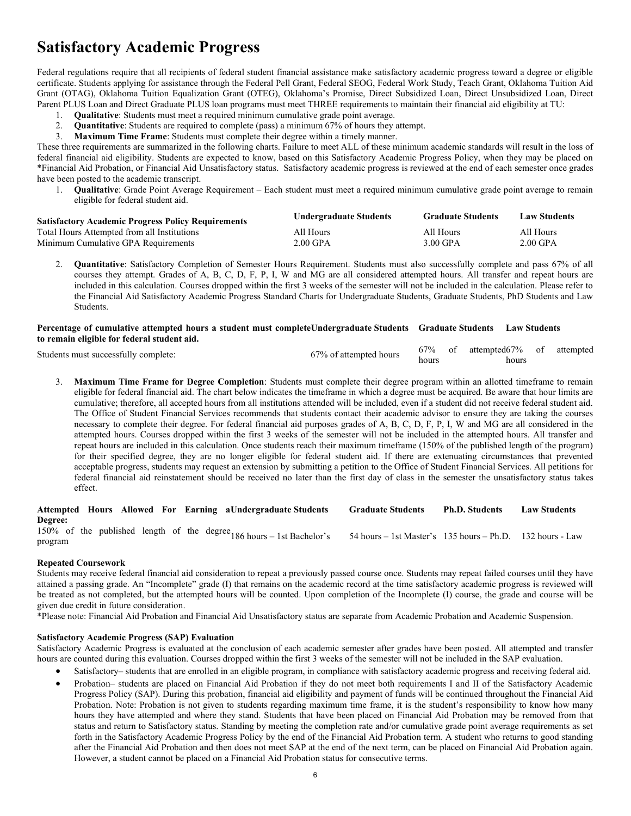# Satisfactory Academic Progress

Federal regulations require that all recipients of federal student financial assistance make satisfactory academic progress toward a degree or eligible certificate. Students applying for assistance through the Federal Pell Grant, Federal SEOG, Federal Work Study, Teach Grant, Oklahoma Tuition Aid Grant (OTAG), Oklahoma Tuition Equalization Grant (OTEG), Oklahoma's Promise, Direct Subsidized Loan, Direct Unsubsidized Loan, Direct Parent PLUS Loan and Direct Graduate PLUS loan programs must meet THREE requirements to maintain their financial aid eligibility at TU:

- 1. Qualitative: Students must meet a required minimum cumulative grade point average.
- 2. Quantitative: Students are required to complete (pass) a minimum 67% of hours they attempt.
- 3. Maximum Time Frame: Students must complete their degree within a timely manner.

These three requirements are summarized in the following charts. Failure to meet ALL of these minimum academic standards will result in the loss of federal financial aid eligibility. Students are expected to know, based on this Satisfactory Academic Progress Policy, when they may be placed on \*Financial Aid Probation, or Financial Aid Unsatisfactory status. Satisfactory academic progress is reviewed at the end of each semester once grades have been posted to the academic transcript.

1. Qualitative: Grade Point Average Requirement – Each student must meet a required minimum cumulative grade point average to remain eligible for federal student aid.

| <b>Satisfactory Academic Progress Policy Requirements</b> | <b>Undergraduate Students</b> | <b>Graduate Students</b> | <b>Law Students</b> |
|-----------------------------------------------------------|-------------------------------|--------------------------|---------------------|
| Total Hours Attempted from all Institutions               | All Hours                     | All Hours                | All Hours           |
| Minimum Cumulative GPA Requirements                       | $2.00$ GPA                    | 3.00 GPA                 | $2.00$ GPA          |

2. Quantitative: Satisfactory Completion of Semester Hours Requirement. Students must also successfully complete and pass 67% of all courses they attempt. Grades of A, B, C, D, F, P, I, W and MG are all considered attempted hours. All transfer and repeat hours are included in this calculation. Courses dropped within the first 3 weeks of the semester will not be included in the calculation. Please refer to the Financial Aid Satisfactory Academic Progress Standard Charts for Undergraduate Students, Graduate Students, PhD Students and Law Students.

# Percentage of cumulative attempted hours a student must completeUndergraduate Students Graduate Students Law Students to remain eligible for federal student aid.

| Students must successfully complete: | 67% of attempted hours |       | 67% of attempted67% of attempted |  |
|--------------------------------------|------------------------|-------|----------------------------------|--|
|                                      |                        | hours | hours                            |  |

3. Maximum Time Frame for Degree Completion: Students must complete their degree program within an allotted timeframe to remain eligible for federal financial aid. The chart below indicates the timeframe in which a degree must be acquired. Be aware that hour limits are cumulative; therefore, all accepted hours from all institutions attended will be included, even if a student did not receive federal student aid. The Office of Student Financial Services recommends that students contact their academic advisor to ensure they are taking the courses necessary to complete their degree. For federal financial aid purposes grades of A, B, C, D, F, P, I, W and MG are all considered in the attempted hours. Courses dropped within the first 3 weeks of the semester will not be included in the attempted hours. All transfer and repeat hours are included in this calculation. Once students reach their maximum timeframe (150% of the published length of the program) for their specified degree, they are no longer eligible for federal student aid. If there are extenuating circumstances that prevented acceptable progress, students may request an extension by submitting a petition to the Office of Student Financial Services. All petitions for federal financial aid reinstatement should be received no later than the first day of class in the semester the unsatisfactory status takes effect.

Attempted Hours Allowed For Earning a Undergraduate Students Graduate Students Ph.D. Students Law Students Degree: 150% of the published length of the degree  $186$  hours – 1st Bachelor's program  $154$  hours – 1st Master's 135 hours – Ph.D. 132 hours - Law

# Repeated Coursework

Students may receive federal financial aid consideration to repeat a previously passed course once. Students may repeat failed courses until they have attained a passing grade. An "Incomplete" grade (I) that remains on the academic record at the time satisfactory academic progress is reviewed will be treated as not completed, but the attempted hours will be counted. Upon completion of the Incomplete (I) course, the grade and course will be given due credit in future consideration.

\*Please note: Financial Aid Probation and Financial Aid Unsatisfactory status are separate from Academic Probation and Academic Suspension.

#### Satisfactory Academic Progress (SAP) Evaluation

Satisfactory Academic Progress is evaluated at the conclusion of each academic semester after grades have been posted. All attempted and transfer hours are counted during this evaluation. Courses dropped within the first 3 weeks of the semester will not be included in the SAP evaluation.

- Satisfactory– students that are enrolled in an eligible program, in compliance with satisfactory academic progress and receiving federal aid.
- Probation– students are placed on Financial Aid Probation if they do not meet both requirements I and II of the Satisfactory Academic Progress Policy (SAP). During this probation, financial aid eligibility and payment of funds will be continued throughout the Financial Aid Probation. Note: Probation is not given to students regarding maximum time frame, it is the student's responsibility to know how many hours they have attempted and where they stand. Students that have been placed on Financial Aid Probation may be removed from that status and return to Satisfactory status. Standing by meeting the completion rate and/or cumulative grade point average requirements as set forth in the Satisfactory Academic Progress Policy by the end of the Financial Aid Probation term. A student who returns to good standing after the Financial Aid Probation and then does not meet SAP at the end of the next term, can be placed on Financial Aid Probation again. However, a student cannot be placed on a Financial Aid Probation status for consecutive terms.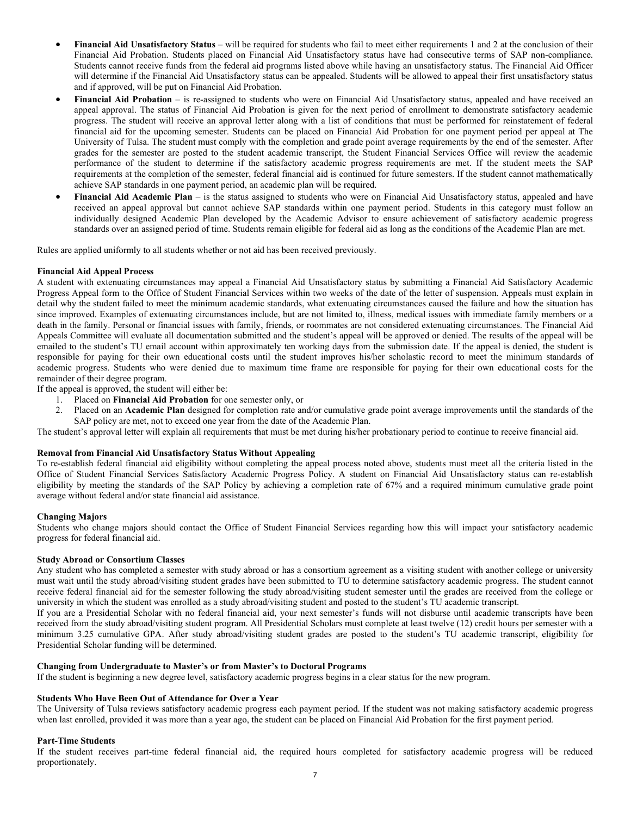- Financial Aid Unsatisfactory Status will be required for students who fail to meet either requirements 1 and 2 at the conclusion of their Financial Aid Probation. Students placed on Financial Aid Unsatisfactory status have had consecutive terms of SAP non-compliance. Students cannot receive funds from the federal aid programs listed above while having an unsatisfactory status. The Financial Aid Officer will determine if the Financial Aid Unsatisfactory status can be appealed. Students will be allowed to appeal their first unsatisfactory status and if approved, will be put on Financial Aid Probation.
- Financial Aid Probation is re-assigned to students who were on Financial Aid Unsatisfactory status, appealed and have received an appeal approval. The status of Financial Aid Probation is given for the next period of enrollment to demonstrate satisfactory academic progress. The student will receive an approval letter along with a list of conditions that must be performed for reinstatement of federal financial aid for the upcoming semester. Students can be placed on Financial Aid Probation for one payment period per appeal at The University of Tulsa. The student must comply with the completion and grade point average requirements by the end of the semester. After grades for the semester are posted to the student academic transcript, the Student Financial Services Office will review the academic performance of the student to determine if the satisfactory academic progress requirements are met. If the student meets the SAP requirements at the completion of the semester, federal financial aid is continued for future semesters. If the student cannot mathematically achieve SAP standards in one payment period, an academic plan will be required.
- Financial Aid Academic Plan is the status assigned to students who were on Financial Aid Unsatisfactory status, appealed and have received an appeal approval but cannot achieve SAP standards within one payment period. Students in this category must follow an individually designed Academic Plan developed by the Academic Advisor to ensure achievement of satisfactory academic progress standards over an assigned period of time. Students remain eligible for federal aid as long as the conditions of the Academic Plan are met.

Rules are applied uniformly to all students whether or not aid has been received previously.

#### Financial Aid Appeal Process

A student with extenuating circumstances may appeal a Financial Aid Unsatisfactory status by submitting a Financial Aid Satisfactory Academic Progress Appeal form to the Office of Student Financial Services within two weeks of the date of the letter of suspension. Appeals must explain in detail why the student failed to meet the minimum academic standards, what extenuating circumstances caused the failure and how the situation has since improved. Examples of extenuating circumstances include, but are not limited to, illness, medical issues with immediate family members or a death in the family. Personal or financial issues with family, friends, or roommates are not considered extenuating circumstances. The Financial Aid Appeals Committee will evaluate all documentation submitted and the student's appeal will be approved or denied. The results of the appeal will be emailed to the student's TU email account within approximately ten working days from the submission date. If the appeal is denied, the student is responsible for paying for their own educational costs until the student improves his/her scholastic record to meet the minimum standards of academic progress. Students who were denied due to maximum time frame are responsible for paying for their own educational costs for the remainder of their degree program.

If the appeal is approved, the student will either be:

- 1. Placed on Financial Aid Probation for one semester only, or
- 2. Placed on an Academic Plan designed for completion rate and/or cumulative grade point average improvements until the standards of the SAP policy are met, not to exceed one year from the date of the Academic Plan.

The student's approval letter will explain all requirements that must be met during his/her probationary period to continue to receive financial aid.

#### Removal from Financial Aid Unsatisfactory Status Without Appealing

To re-establish federal financial aid eligibility without completing the appeal process noted above, students must meet all the criteria listed in the Office of Student Financial Services Satisfactory Academic Progress Policy. A student on Financial Aid Unsatisfactory status can re-establish eligibility by meeting the standards of the SAP Policy by achieving a completion rate of 67% and a required minimum cumulative grade point average without federal and/or state financial aid assistance.

#### Changing Majors

Students who change majors should contact the Office of Student Financial Services regarding how this will impact your satisfactory academic progress for federal financial aid.

# Study Abroad or Consortium Classes

Any student who has completed a semester with study abroad or has a consortium agreement as a visiting student with another college or university must wait until the study abroad/visiting student grades have been submitted to TU to determine satisfactory academic progress. The student cannot receive federal financial aid for the semester following the study abroad/visiting student semester until the grades are received from the college or university in which the student was enrolled as a study abroad/visiting student and posted to the student's TU academic transcript.

If you are a Presidential Scholar with no federal financial aid, your next semester's funds will not disburse until academic transcripts have been received from the study abroad/visiting student program. All Presidential Scholars must complete at least twelve (12) credit hours per semester with a minimum 3.25 cumulative GPA. After study abroad/visiting student grades are posted to the student's TU academic transcript, eligibility for Presidential Scholar funding will be determined.

#### Changing from Undergraduate to Master's or from Master's to Doctoral Programs

If the student is beginning a new degree level, satisfactory academic progress begins in a clear status for the new program.

#### Students Who Have Been Out of Attendance for Over a Year

The University of Tulsa reviews satisfactory academic progress each payment period. If the student was not making satisfactory academic progress when last enrolled, provided it was more than a year ago, the student can be placed on Financial Aid Probation for the first payment period.

#### Part-Time Students

If the student receives part-time federal financial aid, the required hours completed for satisfactory academic progress will be reduced proportionately.